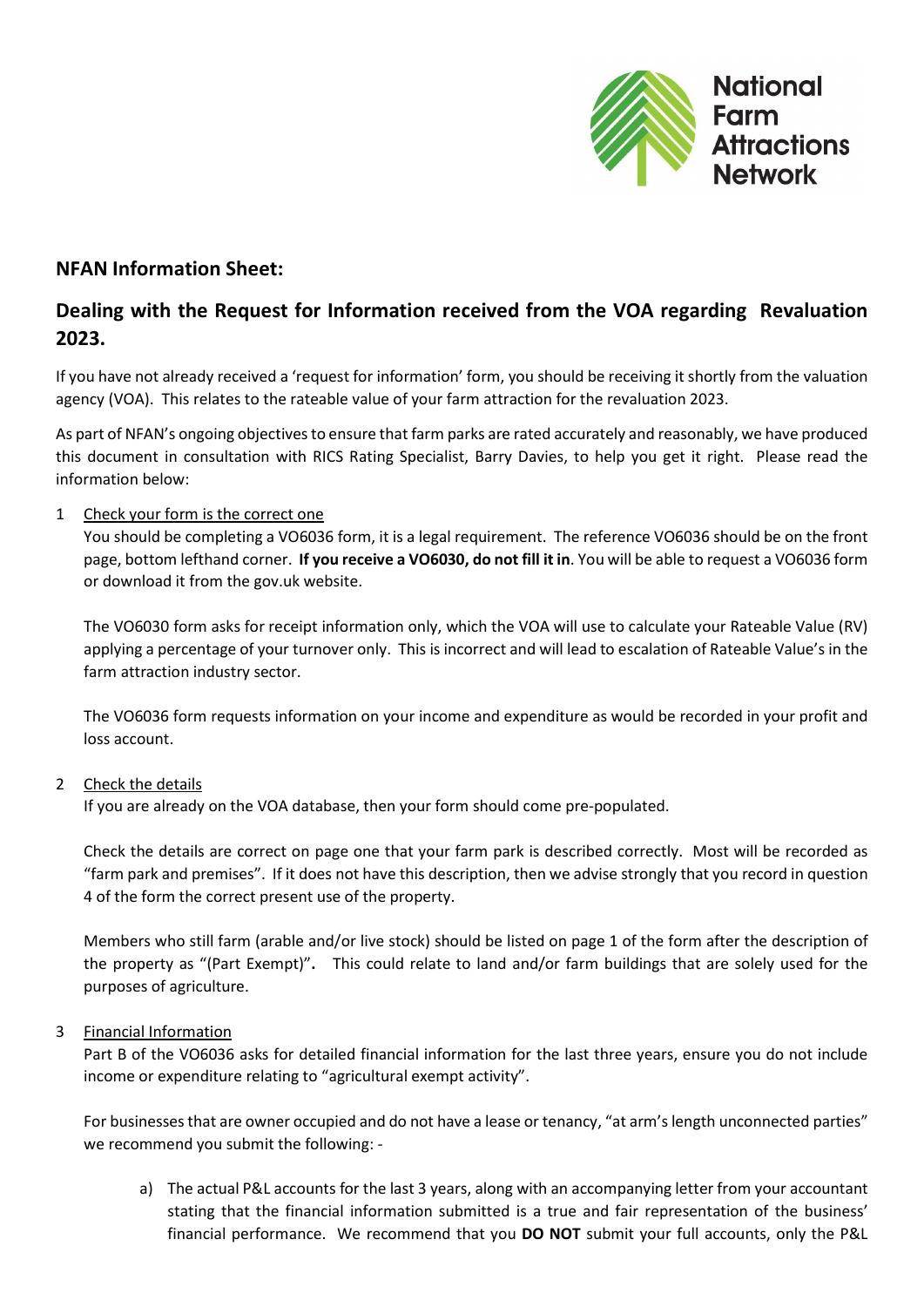

# NFAN Information Sheet:

# Dealing with the Request for Information received from the VOA regarding Revaluation 2023.

If you have not already received a 'request for information' form, you should be receiving it shortly from the valuation agency (VOA). This relates to the rateable value of your farm attraction for the revaluation 2023.

As part of NFAN's ongoing objectives to ensure that farm parks are rated accurately and reasonably, we have produced this document in consultation with RICS Rating Specialist, Barry Davies, to help you get it right. Please read the information below:

## 1 Check your form is the correct one

You should be completing a VO6036 form, it is a legal requirement. The reference VO6036 should be on the front page, bottom lefthand corner. If you receive a VO6030, do not fill it in. You will be able to request a VO6036 form or download it from the gov.uk website.

The VO6030 form asks for receipt information only, which the VOA will use to calculate your Rateable Value (RV) applying a percentage of your turnover only. This is incorrect and will lead to escalation of Rateable Value's in the farm attraction industry sector.

The VO6036 form requests information on your income and expenditure as would be recorded in your profit and loss account.

#### 2 Check the details

If you are already on the VOA database, then your form should come pre-populated.

Check the details are correct on page one that your farm park is described correctly. Most will be recorded as "farm park and premises". If it does not have this description, then we advise strongly that you record in question 4 of the form the correct present use of the property.

Members who still farm (arable and/or live stock) should be listed on page 1 of the form after the description of the property as "(Part Exempt)". This could relate to land and/or farm buildings that are solely used for the purposes of agriculture.

#### 3 Financial Information

Part B of the VO6036 asks for detailed financial information for the last three years, ensure you do not include income or expenditure relating to "agricultural exempt activity".

For businesses that are owner occupied and do not have a lease or tenancy, "at arm's length unconnected parties" we recommend you submit the following: -

a) The actual P&L accounts for the last 3 years, along with an accompanying letter from your accountant stating that the financial information submitted is a true and fair representation of the business' financial performance. We recommend that you DO NOT submit your full accounts, only the P&L